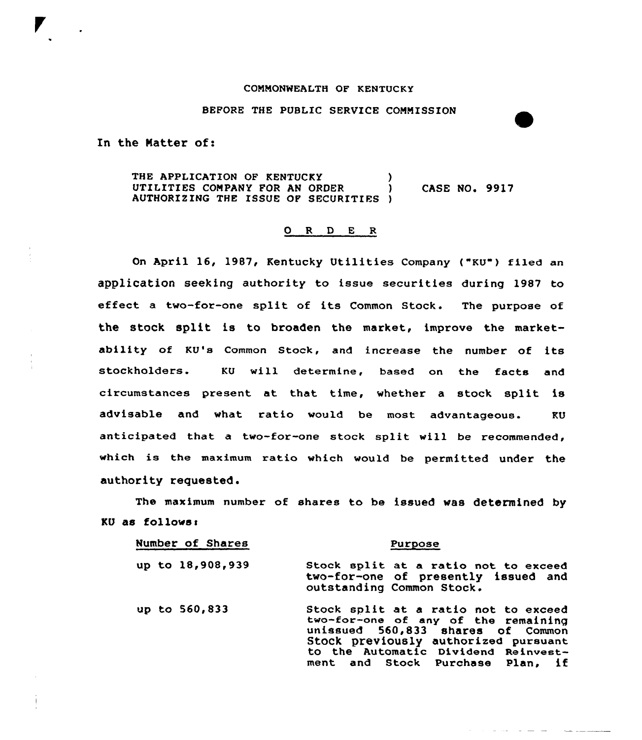## COMMONWEALTH OP KENTUCKY

## BEFORE THE PUBLIC SERVICE COMMISSION

In the Matter of:

THE APPLICATION OF KENTUCKY (1997) UTILITIES COMPANY FOR AN ORDER AUTHORIZING THE ISSUE OP SECURITIES ) **CASE NO. 9917** 

## 0 R 0 E R

On April 16, 1987, Kentucky Utilities Company ("KU") filed an application seeking authority to issue securities during 1987 to effect <sup>a</sup> two-for-one split of its Common Stock. The purpose of the stock split is to broaden the market, improve the marketability of KU's Common Stock, and increase the number of its stockholders. KU will determine, based on the facts and circumstances present at that time, whether a stock split is advisable and vhat ratio vould be most advantageous. KU anticipated that a two-for-one stock split vill be recommended, which is the maximum ratio vhich vould be permitted under the authority requested.

The maximum number of shares to be issued was determined by KU as follows:

| Number of Shares | Purpose                                                                                                                                                                                                                             |
|------------------|-------------------------------------------------------------------------------------------------------------------------------------------------------------------------------------------------------------------------------------|
| up to 18,908,939 | Stock split at a ratio not to exceed<br>two-for-one of presently issued and<br>outstanding Common Stock.                                                                                                                            |
| up to 560,833    | Stock split at a ratio not to exceed<br>two-for-one of any of the remaining<br>unissued 560,833 shares of Common<br>Stock previously authorized pursuant<br>to the Automatic Dividend Reinvest-<br>ment and Stock Purchase Plan. if |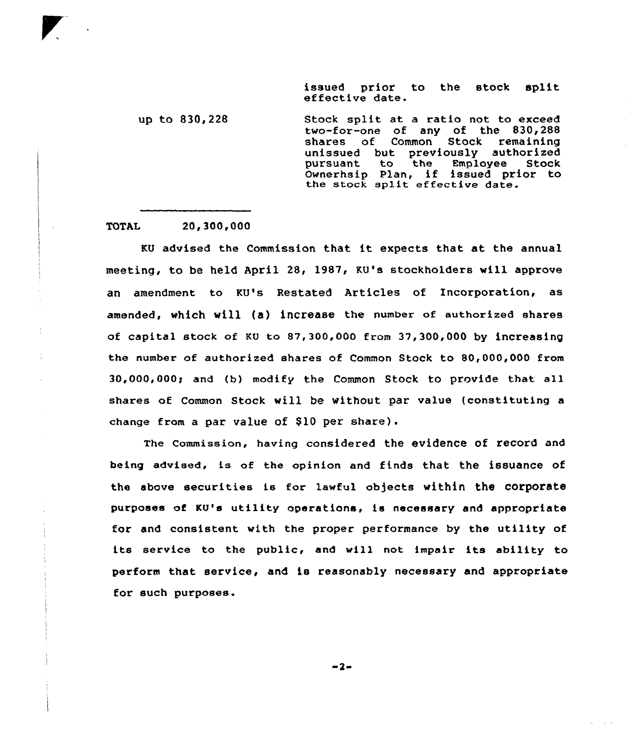issued prior to the stock split effective date.

up to 830,228 Stock split at a ratio not to exceed two-for-one of any of the 830,288 shares of Common unissued but previously authorize pursuant to the Employee Stock pursuant to the Employee Stock<br>Ownerhsip Plan, if issued prior to the stock sp1it effective date.

TOTAL 20,300,000

KU advised the Commission that it expects that at the annua1 meeting, to be held April 28, 1987, KU's stockholders will approve an amendment to KU's Restated Articles of Incorporation, as amended, which will (a) increase the number of authorized shares of capital stock of KU to 87 300,000 from 37,300,000 by increasing the number of authorized shares of Common Stock to 80,000,000 from  $30,000,000$ ; and (b) modify the Common Stock to provide that all shares of Common Stock vill be without par value (constituting a change from a par value of  $$10$  per share).

The Commission, having considered the evidence of record and being advised, is of the opinion and finds that the issuance of the above securities is for lawful objects within the corporate purposes of KU's utility operations, ts necessary and appropriate for and consistent with the proper performance by the utility of its service to the public, and will not impair its ability to perform that service, and is reasonably necessary and appropriate for such purposes.

 $-2-$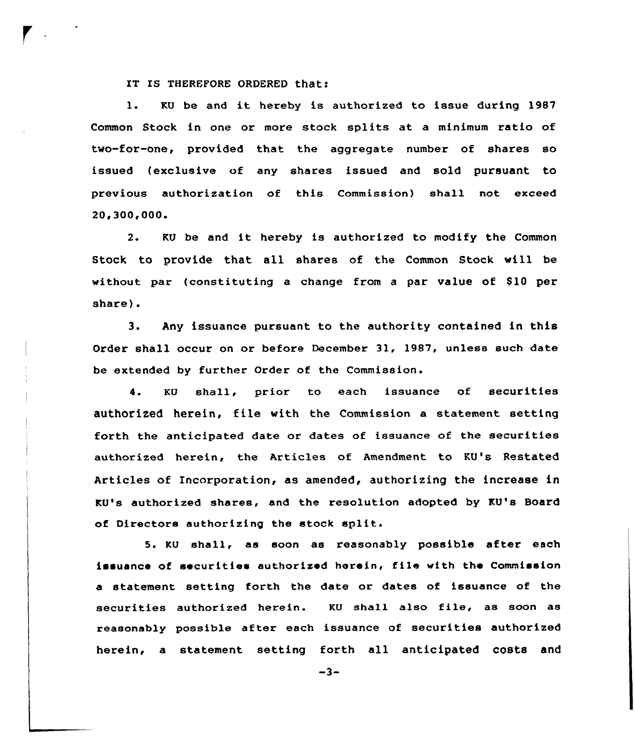IT Is THEREF0RE 0RDERED that:

1. KU be and it hereby is authorized to issue during <sup>1987</sup> Common Stock in one or more stock splits at a minimum ratio of two-for-one, provided that the aggregate number of shares so issued {exclusive of any shares issued and sold pursuant to previous authorization of this Commission) shall not exceed 20,300,000.

2. KU be and it hereby is authorized to modify the Common Stock to provide that all shares of the Common Stock vill be without par (constituting a change from a par value of \$10 per share).

3. Any issuance pursuant to the authority contained in this Order shall occux on ox befoxe December 31, 1987, unless such date be extended by further Order of the Commission.

4. KU shall, prior to each issuance of securities authorized herein, file with the Commission a statement setting forth the anticipated date or dates of issuance of the securities authorized hexein, the Articles of Amendment to KU's Restated Articles of Incorporation, as amended, authorizing the increase in KU's authorized shares, and the resolution adopted by KU's Board of Directors authorizing the stock split.

5. KU shall, as soon as reasonably possible after each issuance of securities authorized herein, file with the Commission a statement setting forth the date or dates of issuance of the securities authorized herein. KU shall also file, as soon as reasonably possible after each issuance of securities authorized herein, a statement setting forth all anticipated costs and

 $-3-$